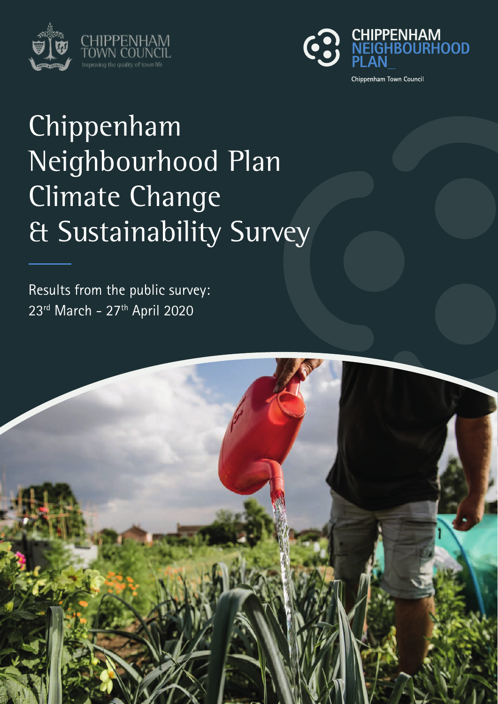



# Chippenham Neighbourhood Plan Climate Change & Sustainability Survey

Results from the public survey: 23<sup>rd</sup> March - 27<sup>th</sup> April 2020

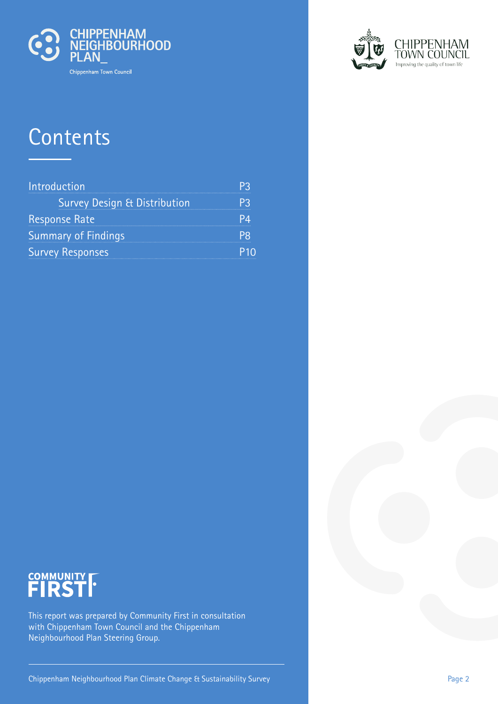

## **Contents**

| Introduction                            |  |
|-----------------------------------------|--|
| <b>Survey Design &amp; Distribution</b> |  |
| <b>Response Rate</b>                    |  |
| <b>Summary of Findings</b>              |  |
| <b>Survey Responses</b>                 |  |



# COMMUNITY **FIRST**

This report was prepared by Community First in consultation with Chippenham Town Council and the Chippenham Neighbourhood Plan Steering Group.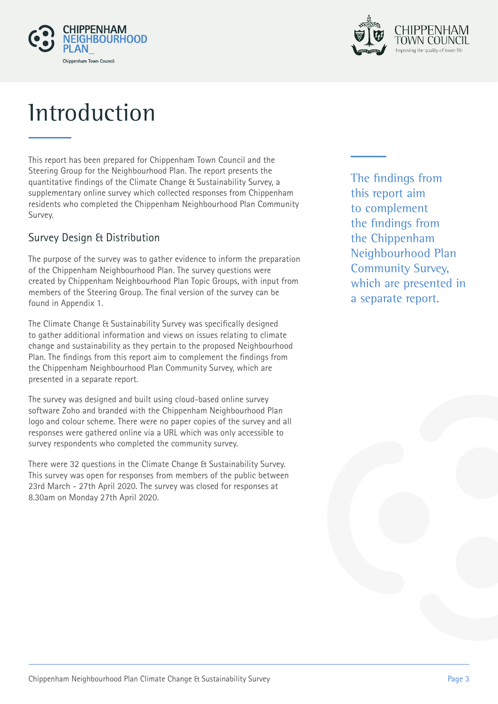



## **Introduction**

This report has been prepared for Chippenham Town Council and the Steering Group for the Neighbourhood Plan. The report presents the quantitative findings of the Climate Change & Sustainability Survey, a supplementary online survey which collected responses from Chippenham residents who completed the Chippenham Neighbourhood Plan Community Survey.

### Survey Design & Distribution

The purpose of the survey was to gather evidence to inform the preparation of the Chippenham Neighbourhood Plan. The survey questions were created by Chippenham Neighbourhood Plan Topic Groups, with input from members of the Steering Group. The final version of the survey can be found in Appendix 1.

The Climate Change & Sustainability Survey was specifically designed to gather additional information and views on issues relating to climate change and sustainability as they pertain to the proposed Neighbourhood Plan. The findings from this report aim to complement the findings from the Chippenham Neighbourhood Plan Community Survey, which are presented in a separate report.

The survey was designed and built using cloud-based online survey software Zoho and branded with the Chippenham Neighbourhood Plan logo and colour scheme. There were no paper copies of the survey and all responses were gathered online via a URL which was only accessible to survey respondents who completed the community survey.

There were 32 questions in the Climate Change & Sustainability Survey. This survey was open for responses from members of the public between 23rd March - 27th April 2020. The survey was closed for responses at 8.30am on Monday 27th April 2020.

The findings from this report aim to complement the findings from the Chippenham Neighbourhood Plan Community Survey, which are presented in a separate report.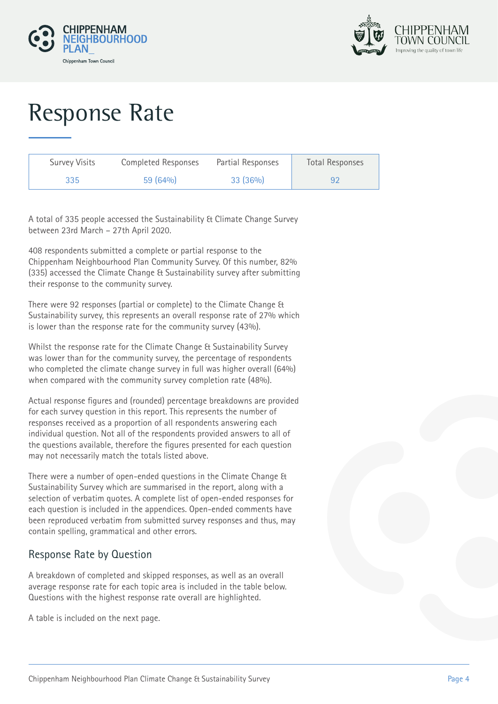



# Response Rate

| Survey Visits | Completed Responses | Partial Responses | <b>Total Responses</b> |
|---------------|---------------------|-------------------|------------------------|
| 335           | 59(64%)             | 33(36%)           | 92                     |

A total of 335 people accessed the Sustainability & Climate Change Survey between 23rd March – 27th April 2020.

408 respondents submitted a complete or partial response to the Chippenham Neighbourhood Plan Community Survey. Of this number, 82% (335) accessed the Climate Change & Sustainability survey after submitting their response to the community survey.

There were 92 responses (partial or complete) to the Climate Change & Sustainability survey, this represents an overall response rate of 27% which is lower than the response rate for the community survey (43%).

Whilst the response rate for the Climate Change & Sustainability Survey was lower than for the community survey, the percentage of respondents who completed the climate change survey in full was higher overall (64%) when compared with the community survey completion rate (48%).

Actual response figures and (rounded) percentage breakdowns are provided for each survey question in this report. This represents the number of responses received as a proportion of all respondents answering each individual question. Not all of the respondents provided answers to all of the questions available, therefore the figures presented for each question may not necessarily match the totals listed above.

There were a number of open-ended questions in the Climate Change & Sustainability Survey which are summarised in the report, along with a selection of verbatim quotes. A complete list of open-ended responses for each question is included in the appendices. Open-ended comments have been reproduced verbatim from submitted survey responses and thus, may contain spelling, grammatical and other errors.

### Response Rate by Question

A breakdown of completed and skipped responses, as well as an overall average response rate for each topic area is included in the table below. Questions with the highest response rate overall are highlighted.

A table is included on the next page.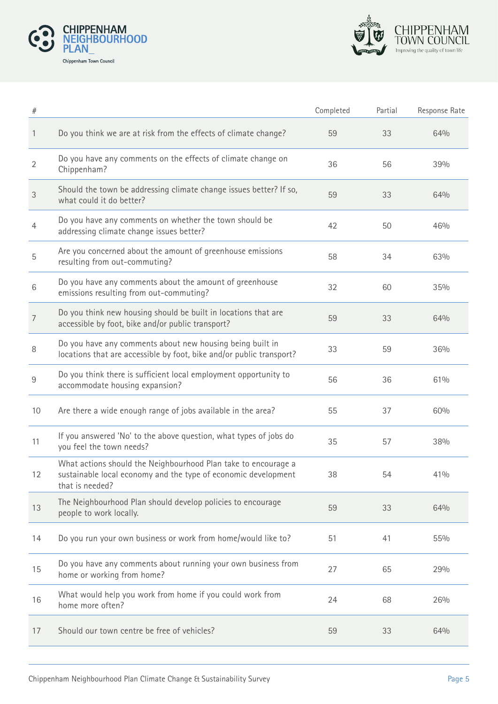



| $\#$           |                                                                                                                                                     | Completed | Partial | Response Rate |
|----------------|-----------------------------------------------------------------------------------------------------------------------------------------------------|-----------|---------|---------------|
| 1              | Do you think we are at risk from the effects of climate change?                                                                                     | 59        | 33      | 64%           |
| $\overline{2}$ | Do you have any comments on the effects of climate change on<br>Chippenham?                                                                         | 36        | 56      | 39%           |
| $\sqrt{3}$     | Should the town be addressing climate change issues better? If so,<br>what could it do better?                                                      | 59        | 33      | 64%           |
| 4              | Do you have any comments on whether the town should be<br>addressing climate change issues better?                                                  | 42        | 50      | 46%           |
| 5              | Are you concerned about the amount of greenhouse emissions<br>resulting from out-commuting?                                                         | 58        | 34      | 63%           |
| 6              | Do you have any comments about the amount of greenhouse<br>emissions resulting from out-commuting?                                                  | 32        | 60      | 35%           |
| 7              | Do you think new housing should be built in locations that are<br>accessible by foot, bike and/or public transport?                                 | 59        | 33      | 64%           |
| 8              | Do you have any comments about new housing being built in<br>locations that are accessible by foot, bike and/or public transport?                   | 33        | 59      | 36%           |
| 9              | Do you think there is sufficient local employment opportunity to<br>accommodate housing expansion?                                                  | 56        | 36      | 61%           |
| 10             | Are there a wide enough range of jobs available in the area?                                                                                        | 55        | 37      | 60%           |
| 11             | If you answered 'No' to the above question, what types of jobs do<br>you feel the town needs?                                                       | 35        | 57      | 38%           |
| 12             | What actions should the Neighbourhood Plan take to encourage a<br>sustainable local economy and the type of economic development<br>that is needed? | 38        | 54      | 41%           |
| 13             | The Neighbourhood Plan should develop policies to encourage<br>people to work locally.                                                              | 59        | 33      | 64%           |
| 14             | Do you run your own business or work from home/would like to?                                                                                       | 51        | 41      | 55%           |
| 15             | Do you have any comments about running your own business from<br>home or working from home?                                                         | 27        | 65      | 29%           |
| 16             | What would help you work from home if you could work from<br>home more often?                                                                       | 24        | 68      | 26%           |
| 17             | Should our town centre be free of vehicles?                                                                                                         | 59        | 33      | 64%           |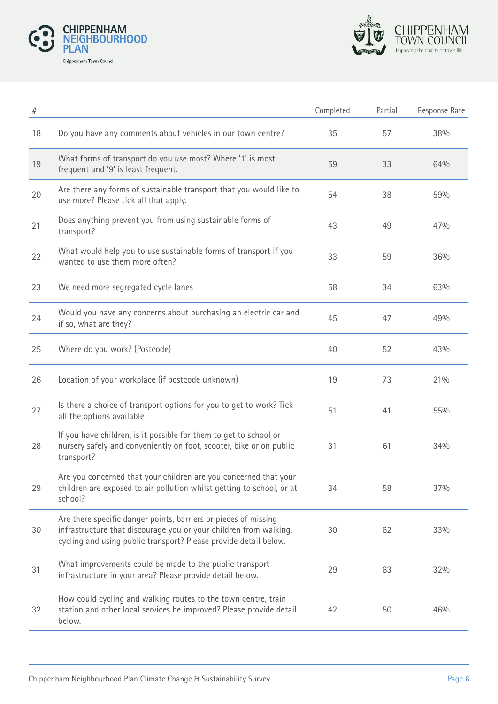



| $\#$ |                                                                                                                                                                                                          | Completed | Partial | Response Rate |
|------|----------------------------------------------------------------------------------------------------------------------------------------------------------------------------------------------------------|-----------|---------|---------------|
| 18   | Do you have any comments about vehicles in our town centre?                                                                                                                                              | 35        | 57      | 38%           |
| $19$ | What forms of transport do you use most? Where '1' is most<br>frequent and '9' is least frequent.                                                                                                        | 59        | 33      | 64%           |
| 20   | Are there any forms of sustainable transport that you would like to<br>use more? Please tick all that apply.                                                                                             | 54        | 38      | 59%           |
| 21   | Does anything prevent you from using sustainable forms of<br>transport?                                                                                                                                  | 43        | 49      | 47%           |
| 22   | What would help you to use sustainable forms of transport if you<br>wanted to use them more often?                                                                                                       | 33        | 59      | 36%           |
| 23   | We need more segregated cycle lanes                                                                                                                                                                      | 58        | 34      | 63%           |
| 24   | Would you have any concerns about purchasing an electric car and<br>if so, what are they?                                                                                                                | 45        | 47      | 49%           |
| 25   | Where do you work? (Postcode)                                                                                                                                                                            | 40        | 52      | 43%           |
| 26   | Location of your workplace (if postcode unknown)                                                                                                                                                         | 19        | 73      | 21%           |
| 27   | Is there a choice of transport options for you to get to work? Tick<br>all the options available                                                                                                         | 51        | 41      | 55%           |
| 28   | If you have children, is it possible for them to get to school or<br>nursery safely and conveniently on foot, scooter, bike or on public<br>transport?                                                   | 31        | 61      | 34%           |
| 29   | Are you concerned that your children are you concerned that your<br>children are exposed to air pollution whilst getting to school, or at<br>school?                                                     | 34        | 58      | 37%           |
| 30   | Are there specific danger points, barriers or pieces of missing<br>infrastructure that discourage you or your children from walking,<br>cycling and using public transport? Please provide detail below. | 30        | 62      | 33%           |
| 31   | What improvements could be made to the public transport<br>infrastructure in your area? Please provide detail below.                                                                                     | 29        | 63      | 32%           |
| 32   | How could cycling and walking routes to the town centre, train<br>station and other local services be improved? Please provide detail<br>below.                                                          | 42        | 50      | 46%           |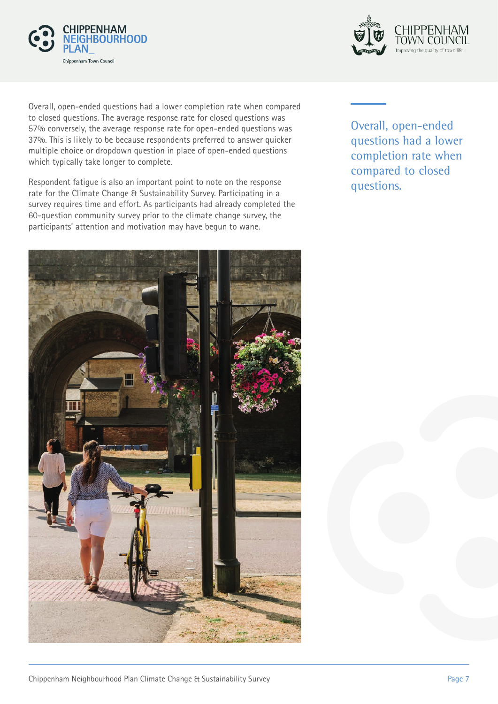



Overall, open-ended questions had a lower completion rate when compared to closed questions. The average response rate for closed questions was 57% conversely, the average response rate for open-ended questions was 37%. This is likely to be because respondents preferred to answer quicker multiple choice or dropdown question in place of open-ended questions which typically take longer to complete.

Respondent fatigue is also an important point to note on the response rate for the Climate Change & Sustainability Survey. Participating in a survey requires time and effort. As participants had already completed the 60-question community survey prior to the climate change survey, the participants' attention and motivation may have begun to wane.



Overall, open-ended questions had a lower completion rate when compared to closed questions.

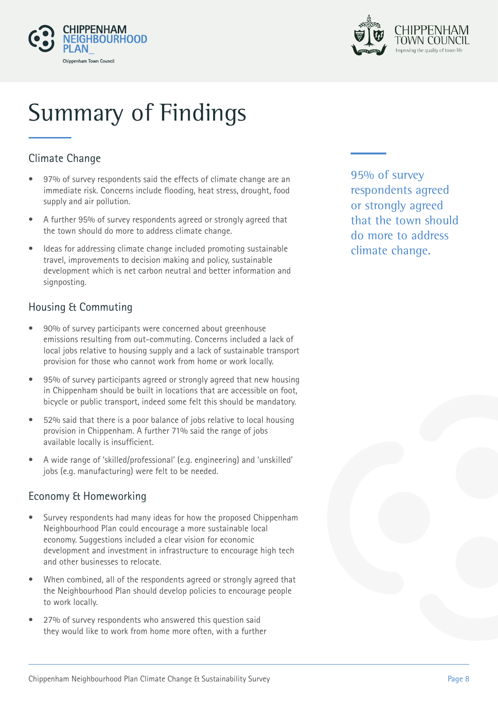



# Summary of Findings

## Climate Change

- 97% of survey respondents said the effects of climate change are an immediate risk. Concerns include flooding, heat stress, drought, food supply and air pollution.
- A further 95% of survey respondents agreed or strongly agreed that the town should do more to address climate change.
- Ideas for addressing climate change included promoting sustainable travel, improvements to decision making and policy, sustainable development which is net carbon neutral and better information and signposting.

### Housing & Commuting

- 90% of survey participants were concerned about greenhouse emissions resulting from out-commuting. Concerns included a lack of local jobs relative to housing supply and a lack of sustainable transport provision for those who cannot work from home or work locally.
- 95% of survey participants agreed or strongly agreed that new housing in Chippenham should be built in locations that are accessible on foot, bicycle or public transport, indeed some felt this should be mandatory.
- 52% said that there is a poor balance of jobs relative to local housing provision in Chippenham. A further 71% said the range of jobs available locally is insufficient.
- A wide range of 'skilled/professional' (e.g. engineering) and 'unskilled' jobs (e.g. manufacturing) were felt to be needed.

### Economy & Homeworking

- Survey respondents had many ideas for how the proposed Chippenham Neighbourhood Plan could encourage a more sustainable local economy. Suggestions included a clear vision for economic development and investment in infrastructure to encourage high tech and other businesses to relocate.
- When combined, all of the respondents agreed or strongly agreed that the Neighbourhood Plan should develop policies to encourage people to work locally.
- 27% of survey respondents who answered this question said they would like to work from home more often, with a further

95% of survey respondents agreed or strongly agreed that the town should do more to address climate change.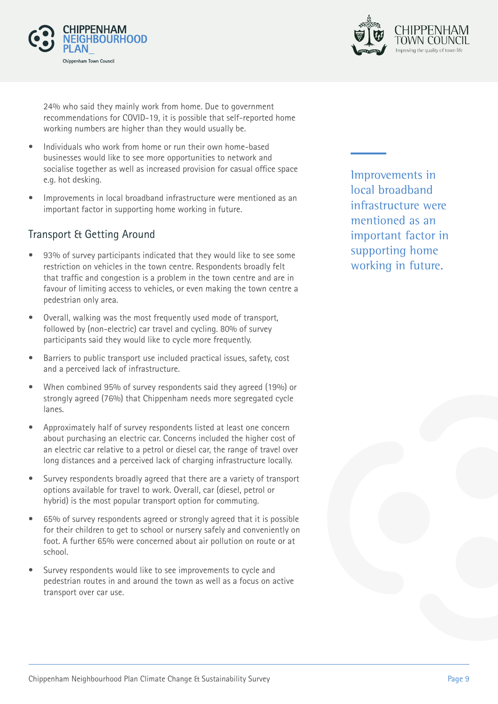



24% who said they mainly work from home. Due to government recommendations for COVID-19, it is possible that self-reported home working numbers are higher than they would usually be.

- Individuals who work from home or run their own home-based businesses would like to see more opportunities to network and socialise together as well as increased provision for casual office space e.g. hot desking.
- Improvements in local broadband infrastructure were mentioned as an important factor in supporting home working in future.

### Transport & Getting Around

- 93% of survey participants indicated that they would like to see some restriction on vehicles in the town centre. Respondents broadly felt that traffic and congestion is a problem in the town centre and are in favour of limiting access to vehicles, or even making the town centre a pedestrian only area.
- Overall, walking was the most frequently used mode of transport, followed by (non-electric) car travel and cycling. 80% of survey participants said they would like to cycle more frequently.
- Barriers to public transport use included practical issues, safety, cost and a perceived lack of infrastructure.
- When combined 95% of survey respondents said they agreed (19%) or strongly agreed (76%) that Chippenham needs more segregated cycle lanes.
- Approximately half of survey respondents listed at least one concern about purchasing an electric car. Concerns included the higher cost of an electric car relative to a petrol or diesel car, the range of travel over long distances and a perceived lack of charging infrastructure locally.
- Survey respondents broadly agreed that there are a variety of transport options available for travel to work. Overall, car (diesel, petrol or hybrid) is the most popular transport option for commuting.
- 65% of survey respondents agreed or strongly agreed that it is possible for their children to get to school or nursery safely and conveniently on foot. A further 65% were concerned about air pollution on route or at school.
- Survey respondents would like to see improvements to cycle and pedestrian routes in and around the town as well as a focus on active transport over car use.

Improvements in local broadband infrastructure were mentioned as an important factor in supporting home working in future.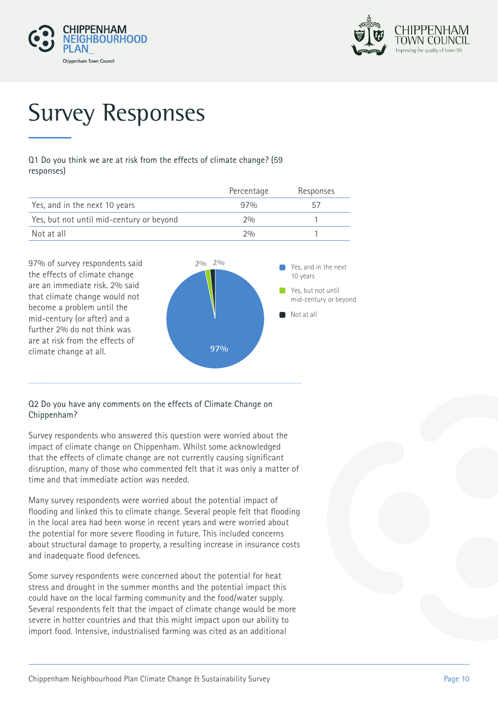



# Survey Responses

Q1 Do you think we are at risk from the effects of climate change? (59 responses)

|                                          | Percentage | Responses |
|------------------------------------------|------------|-----------|
| Yes, and in the next 10 years            | 970/0      | h/        |
| Yes, but not until mid-century or beyond | 20/0       |           |
| Not at all                               | 20/0       |           |



#### Q2 Do you have any comments on the effects of Climate Change on Chippenham?

Survey respondents who answered this question were worried about the impact of climate change on Chippenham. Whilst some acknowledged that the effects of climate change are not currently causing significant disruption, many of those who commented felt that it was only a matter of time and that immediate action was needed.

Many survey respondents were worried about the potential impact of flooding and linked this to climate change. Several people felt that flooding in the local area had been worse in recent years and were worried about the potential for more severe flooding in future. This included concerns about structural damage to property, a resulting increase in insurance costs and inadequate flood defences.

Some survey respondents were concerned about the potential for heat stress and drought in the summer months and the potential impact this could have on the local farming community and the food/water supply. Several respondents felt that the impact of climate change would be more severe in hotter countries and that this might impact upon our ability to import food. Intensive, industrialised farming was cited as an additional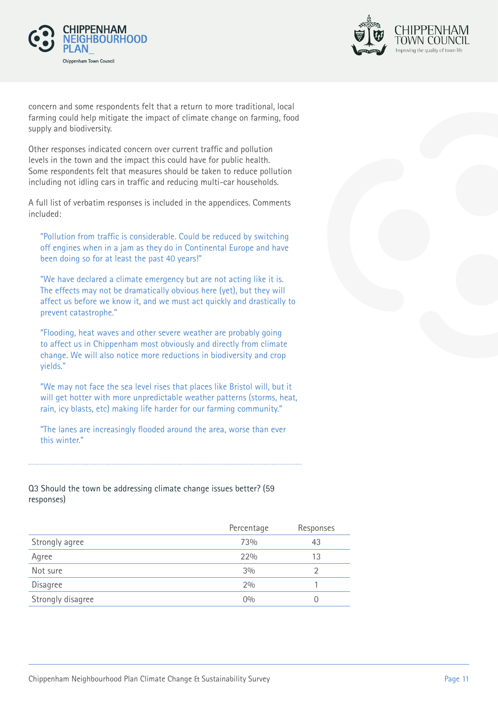



concern and some respondents felt that a return to more traditional, local farming could help mitigate the impact of climate change on farming, food supply and biodiversity.

Other responses indicated concern over current traffic and pollution levels in the town and the impact this could have for public health. Some respondents felt that measures should be taken to reduce pollution including not idling cars in traffic and reducing multi-car households.

A full list of verbatim responses is included in the appendices. Comments included:

"Pollution from traffic is considerable. Could be reduced by switching off engines when in a jam as they do in Continental Europe and have been doing so for at least the past 40 years!"

"We have declared a climate emergency but are not acting like it is. The effects may not be dramatically obvious here (yet), but they will affect us before we know it, and we must act quickly and drastically to prevent catastrophe."

"Flooding, heat waves and other severe weather are probably going to affect us in Chippenham most obviously and directly from climate change. We will also notice more reductions in biodiversity and crop yields."

"We may not face the sea level rises that places like Bristol will, but it will get hotter with more unpredictable weather patterns (storms, heat, rain, icy blasts, etc) making life harder for our farming community."

"The lanes are increasingly flooded around the area, worse than ever this winter."

#### Q3 Should the town be addressing climate change issues better? (59 responses)

|                   | Percentage | Responses |
|-------------------|------------|-----------|
| Strongly agree    | 73%        | 43        |
| Agree             | 22%        | 13        |
| Not sure          | 3%         |           |
| Disagree          | 2%         |           |
| Strongly disagree | $0\%$      |           |
|                   |            |           |

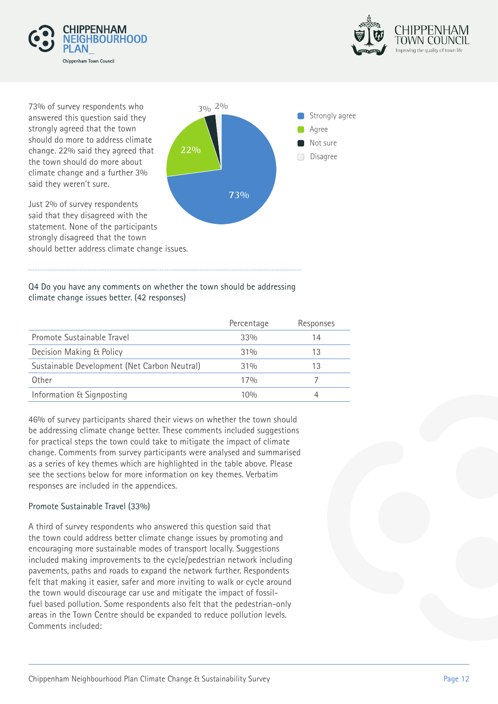



73% of survey respondents who **3% 2%** answered this question said they strongly agreed that the town should do more to address climate change. 22% said they agreed that the town should do more about climate change and a further 3% said they weren't sure.

Just 2% of survey respondents said that they disagreed with the

strongly disagreed that the town



#### Q4 Do you have any comments on whether the town should be addressing climate change issues better. (42 responses)

|                                              | Percentage | Responses |
|----------------------------------------------|------------|-----------|
| Promote Sustainable Travel                   | 33%        | 14        |
| Decision Making & Policy                     | 31%        | 13        |
| Sustainable Development (Net Carbon Neutral) | 31%        | 13        |
| Other                                        | 17%        |           |
| Information & Signposting                    | 10%        |           |

46% of survey participants shared their views on whether the town should be addressing climate change better. These comments included suggestions for practical steps the town could take to mitigate the impact of climate change. Comments from survey participants were analysed and summarised as a series of key themes which are highlighted in the table above. Please see the sections below for more information on key themes. Verbatim responses are included in the appendices.

#### Promote Sustainable Travel (33%)

A third of survey respondents who answered this question said that the town could address better climate change issues by promoting and encouraging more sustainable modes of transport locally. Suggestions included making improvements to the cycle/pedestrian network including pavements, paths and roads to expand the network further. Respondents felt that making it easier, safer and more inviting to walk or cycle around the town would discourage car use and mitigate the impact of fossilfuel based pollution. Some respondents also felt that the pedestrian-only areas in the Town Centre should be expanded to reduce pollution levels. Comments included: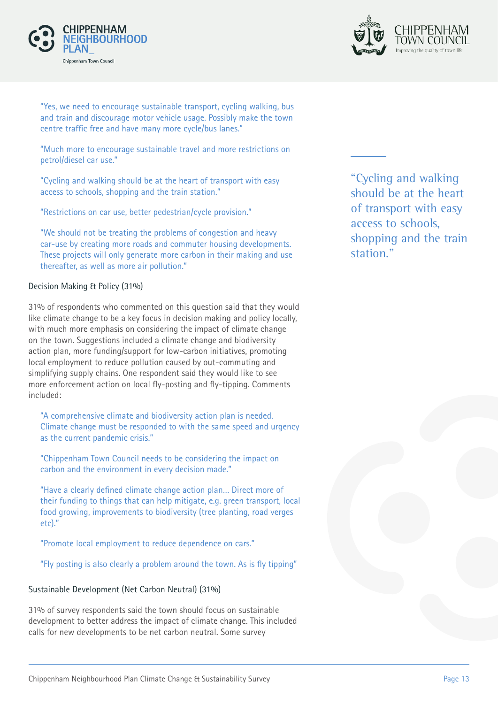



"Yes, we need to encourage sustainable transport, cycling walking, bus and train and discourage motor vehicle usage. Possibly make the town centre traffic free and have many more cycle/bus lanes."

"Much more to encourage sustainable travel and more restrictions on petrol/diesel car use."

"Cycling and walking should be at the heart of transport with easy access to schools, shopping and the train station."

"Restrictions on car use, better pedestrian/cycle provision."

"We should not be treating the problems of congestion and heavy car-use by creating more roads and commuter housing developments. These projects will only generate more carbon in their making and use thereafter, as well as more air pollution."

#### Decision Making & Policy (31%)

31% of respondents who commented on this question said that they would like climate change to be a key focus in decision making and policy locally, with much more emphasis on considering the impact of climate change on the town. Suggestions included a climate change and biodiversity action plan, more funding/support for low-carbon initiatives, promoting local employment to reduce pollution caused by out-commuting and simplifying supply chains. One respondent said they would like to see more enforcement action on local fly-posting and fly-tipping. Comments included:

"A comprehensive climate and biodiversity action plan is needed. Climate change must be responded to with the same speed and urgency as the current pandemic crisis."

"Chippenham Town Council needs to be considering the impact on carbon and the environment in every decision made."

"Have a clearly defined climate change action plan… Direct more of their funding to things that can help mitigate, e.g. green transport, local food growing, improvements to biodiversity (tree planting, road verges etc)."

"Promote local employment to reduce dependence on cars."

"Fly posting is also clearly a problem around the town. As is fly tipping"

#### Sustainable Development (Net Carbon Neutral) (31%)

31% of survey respondents said the town should focus on sustainable development to better address the impact of climate change. This included calls for new developments to be net carbon neutral. Some survey

"Cycling and walking should be at the heart of transport with easy access to schools, shopping and the train station."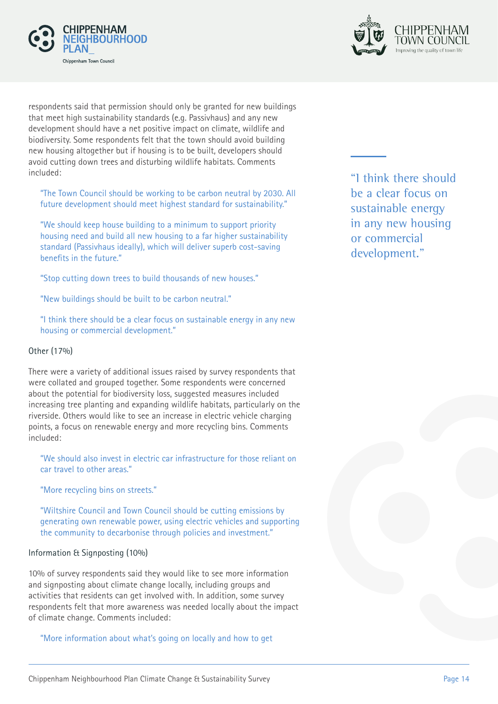



respondents said that permission should only be granted for new buildings that meet high sustainability standards (e.g. Passivhaus) and any new development should have a net positive impact on climate, wildlife and biodiversity. Some respondents felt that the town should avoid building new housing altogether but if housing is to be built, developers should avoid cutting down trees and disturbing wildlife habitats. Comments included:

"The Town Council should be working to be carbon neutral by 2030. All future development should meet highest standard for sustainability."

"We should keep house building to a minimum to support priority housing need and build all new housing to a far higher sustainability standard (Passivhaus ideally), which will deliver superb cost-saving benefits in the future."

"Stop cutting down trees to build thousands of new houses."

"New buildings should be built to be carbon neutral."

"I think there should be a clear focus on sustainable energy in any new housing or commercial development."

#### Other (17%)

There were a variety of additional issues raised by survey respondents that were collated and grouped together. Some respondents were concerned about the potential for biodiversity loss, suggested measures included increasing tree planting and expanding wildlife habitats, particularly on the riverside. Others would like to see an increase in electric vehicle charging points, a focus on renewable energy and more recycling bins. Comments included:

"We should also invest in electric car infrastructure for those reliant on car travel to other areas."

"More recycling bins on streets."

"Wiltshire Council and Town Council should be cutting emissions by generating own renewable power, using electric vehicles and supporting the community to decarbonise through policies and investment."

#### Information & Signposting (10%)

10% of survey respondents said they would like to see more information and signposting about climate change locally, including groups and activities that residents can get involved with. In addition, some survey respondents felt that more awareness was needed locally about the impact of climate change. Comments included:

"More information about what's going on locally and how to get

"I think there should be a clear focus on sustainable energy in any new housing or commercial development."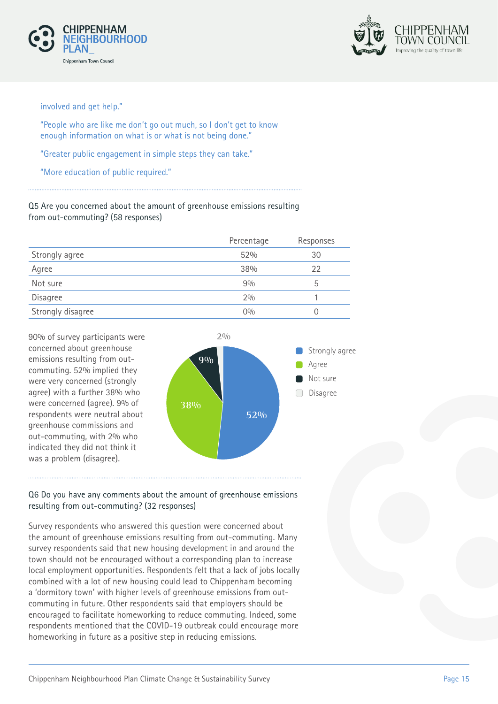



involved and get help."

"People who are like me don't go out much, so I don't get to know enough information on what is or what is not being done."

"Greater public engagement in simple steps they can take."

"More education of public required."

Q5 Are you concerned about the amount of greenhouse emissions resulting from out-commuting? (58 responses)

|                   | Percentage | Responses |
|-------------------|------------|-----------|
| Strongly agree    | 52%        | 30        |
| Agree             | 38%        | 22        |
| Not sure          | 9%         | b         |
| Disagree          | 2%         |           |
| Strongly disagree | $0\%$      |           |

90% of survey participants were concerned about greenhouse emissions resulting from outcommuting. 52% implied they were very concerned (strongly agree) with a further 38% who were concerned (agree). 9% of respondents were neutral about greenhouse commissions and out-commuting, with 2% who indicated they did not think it was a problem (disagree).



#### Q6 Do you have any comments about the amount of greenhouse emissions resulting from out-commuting? (32 responses)

Survey respondents who answered this question were concerned about the amount of greenhouse emissions resulting from out-commuting. Many survey respondents said that new housing development in and around the town should not be encouraged without a corresponding plan to increase local employment opportunities. Respondents felt that a lack of jobs locally combined with a lot of new housing could lead to Chippenham becoming a 'dormitory town' with higher levels of greenhouse emissions from outcommuting in future. Other respondents said that employers should be encouraged to facilitate homeworking to reduce commuting. Indeed, some respondents mentioned that the COVID-19 outbreak could encourage more homeworking in future as a positive step in reducing emissions.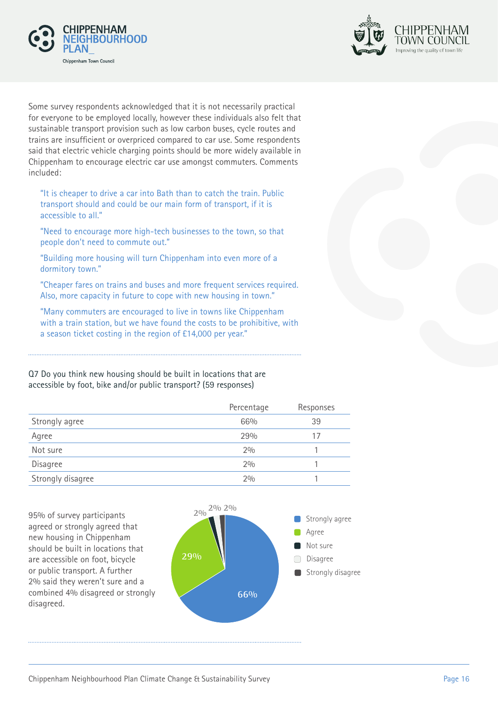



Some survey respondents acknowledged that it is not necessarily practical for everyone to be employed locally, however these individuals also felt that sustainable transport provision such as low carbon buses, cycle routes and trains are insufficient or overpriced compared to car use. Some respondents said that electric vehicle charging points should be more widely available in Chippenham to encourage electric car use amongst commuters. Comments included:

"It is cheaper to drive a car into Bath than to catch the train. Public transport should and could be our main form of transport, if it is accessible to all."

"Need to encourage more high-tech businesses to the town, so that people don't need to commute out."

"Building more housing will turn Chippenham into even more of a dormitory town."

"Cheaper fares on trains and buses and more frequent services required. Also, more capacity in future to cope with new housing in town."

"Many commuters are encouraged to live in towns like Chippenham with a train station, but we have found the costs to be prohibitive, with a season ticket costing in the region of £14,000 per year."

Q7 Do you think new housing should be built in locations that are accessible by foot, bike and/or public transport? (59 responses)

|                   | Percentage | Responses |
|-------------------|------------|-----------|
| Strongly agree    | 66%        | 39        |
| Agree             | 29%        | 17        |
| Not sure          | 2%         |           |
| Disagree          | 2%         |           |
| Strongly disagree | 2%         |           |

95% of survey participants agreed or strongly agreed that new housing in Chippenham should be built in locations that are accessible on foot, bicycle or public transport. A further 2% said they weren't sure and a combined 4% disagreed or strongly disagreed.

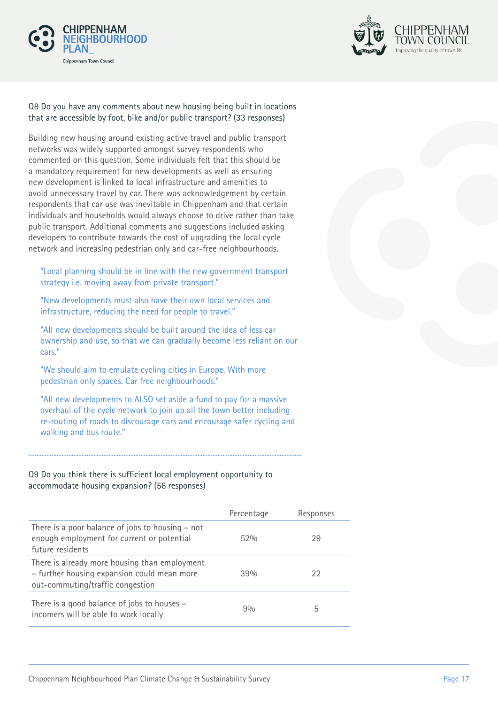



#### Q8 Do you have any comments about new housing being built in locations that are accessible by foot, bike and/or public transport? (33 responses)

Building new housing around existing active travel and public transport networks was widely supported amongst survey respondents who commented on this question. Some individuals felt that this should be a mandatory requirement for new developments as well as ensuring new development is linked to local infrastructure and amenities to avoid unnecessary travel by car. There was acknowledgement by certain respondents that car use was inevitable in Chippenham and that certain individuals and households would always choose to drive rather than take public transport. Additional comments and suggestions included asking developers to contribute towards the cost of upgrading the local cycle network and increasing pedestrian only and car-free neighbourhoods.

"Local planning should be in line with the new government transport strategy i.e. moving away from private transport."

"New developments must also have their own local services and infrastructure, reducing the need for people to travel."

"All new developments should be built around the idea of less car ownership and use, so that we can gradually become less reliant on our cars."

"We should aim to emulate cycling cities in Europe. With more pedestrian only spaces. Car free neighbourhoods."

"All new developments to ALSO set aside a fund to pay for a massive overhaul of the cycle network to join up all the town better including re-routing of roads to discourage cars and encourage safer cycling and walking and bus route."

#### Q9 Do you think there is sufficient local employment opportunity to accommodate housing expansion? (56 responses)

|                                                                                                                                  | Percentage | Responses |
|----------------------------------------------------------------------------------------------------------------------------------|------------|-----------|
| There is a poor balance of jobs to housing - not<br>enough employment for current or potential<br>future residents               | 52%        | 29        |
| There is already more housing than employment<br>- further housing expansion could mean more<br>out-commuting/traffic congestion | 39%        | 22        |
| There is a good balance of jobs to houses -<br>incomers will be able to work locally                                             | 90/0       | 5         |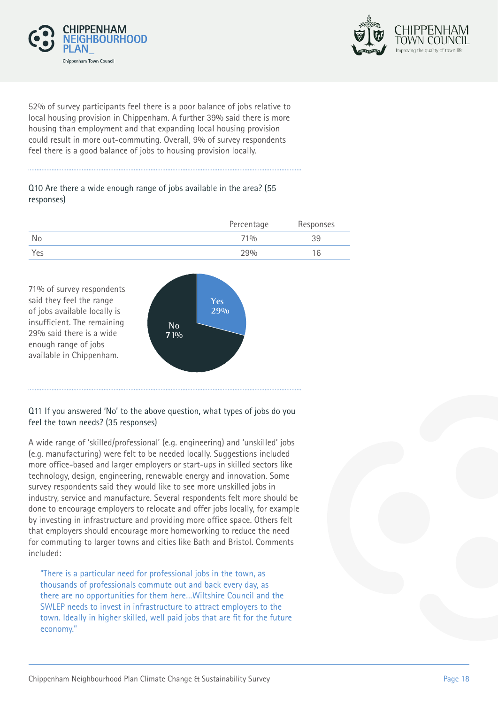



52% of survey participants feel there is a poor balance of jobs relative to local housing provision in Chippenham. A further 39% said there is more housing than employment and that expanding local housing provision could result in more out-commuting. Overall, 9% of survey respondents feel there is a good balance of jobs to housing provision locally.

#### Q10 Are there a wide enough range of jobs available in the area? (55 responses)

|     | Percentage | Responses |
|-----|------------|-----------|
| No  | 71%        | 39        |
| Yes | 29%        | 16        |



#### Q11 If you answered 'No' to the above question, what types of jobs do you feel the town needs? (35 responses)

A wide range of 'skilled/professional' (e.g. engineering) and 'unskilled' jobs (e.g. manufacturing) were felt to be needed locally. Suggestions included more office-based and larger employers or start-ups in skilled sectors like technology, design, engineering, renewable energy and innovation. Some survey respondents said they would like to see more unskilled jobs in industry, service and manufacture. Several respondents felt more should be done to encourage employers to relocate and offer jobs locally, for example by investing in infrastructure and providing more office space. Others felt that employers should encourage more homeworking to reduce the need for commuting to larger towns and cities like Bath and Bristol. Comments included:

"There is a particular need for professional jobs in the town, as thousands of professionals commute out and back every day, as there are no opportunities for them here…Wiltshire Council and the SWLEP needs to invest in infrastructure to attract employers to the town. Ideally in higher skilled, well paid jobs that are fit for the future economy."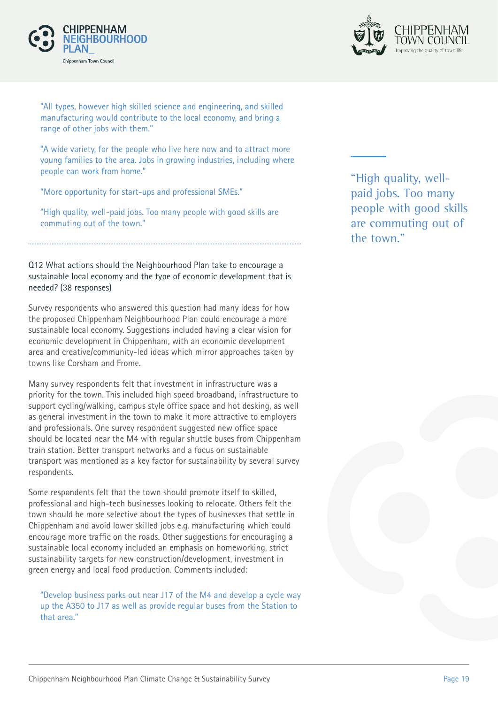



"All types, however high skilled science and engineering, and skilled manufacturing would contribute to the local economy, and bring a range of other jobs with them."

"A wide variety, for the people who live here now and to attract more young families to the area. Jobs in growing industries, including where people can work from home."

"More opportunity for start-ups and professional SMEs."

"High quality, well-paid jobs. Too many people with good skills are commuting out of the town."

#### Q12 What actions should the Neighbourhood Plan take to encourage a sustainable local economy and the type of economic development that is needed? (38 responses)

Survey respondents who answered this question had many ideas for how the proposed Chippenham Neighbourhood Plan could encourage a more sustainable local economy. Suggestions included having a clear vision for economic development in Chippenham, with an economic development area and creative/community-led ideas which mirror approaches taken by towns like Corsham and Frome.

Many survey respondents felt that investment in infrastructure was a priority for the town. This included high speed broadband, infrastructure to support cycling/walking, campus style office space and hot desking, as well as general investment in the town to make it more attractive to employers and professionals. One survey respondent suggested new office space should be located near the M4 with regular shuttle buses from Chippenham train station. Better transport networks and a focus on sustainable transport was mentioned as a key factor for sustainability by several survey respondents.

Some respondents felt that the town should promote itself to skilled, professional and high-tech businesses looking to relocate. Others felt the town should be more selective about the types of businesses that settle in Chippenham and avoid lower skilled jobs e.g. manufacturing which could encourage more traffic on the roads. Other suggestions for encouraging a sustainable local economy included an emphasis on homeworking, strict sustainability targets for new construction/development, investment in green energy and local food production. Comments included:

"Develop business parks out near J17 of the M4 and develop a cycle way up the A350 to J17 as well as provide regular buses from the Station to that area."

"High quality, wellpaid jobs. Too many people with good skills are commuting out of the town."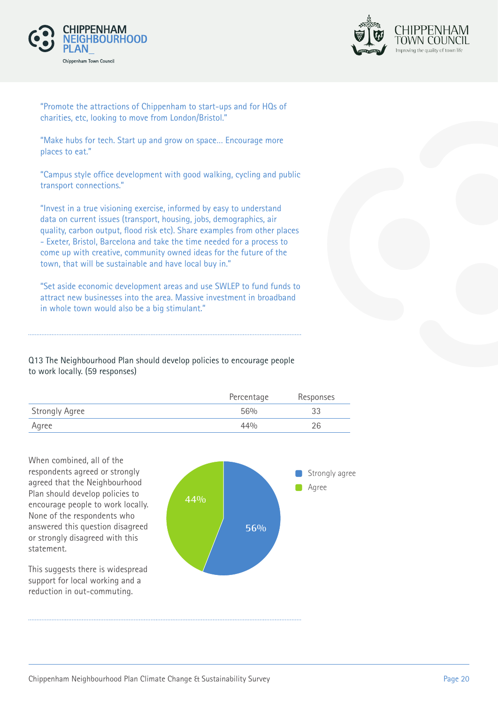



"Promote the attractions of Chippenham to start-ups and for HQs of charities, etc, looking to move from London/Bristol."

"Make hubs for tech. Start up and grow on space… Encourage more places to eat."

"Campus style office development with good walking, cycling and public transport connections."

"Invest in a true visioning exercise, informed by easy to understand data on current issues (transport, housing, jobs, demographics, air quality, carbon output, flood risk etc). Share examples from other places - Exeter, Bristol, Barcelona and take the time needed for a process to come up with creative, community owned ideas for the future of the town, that will be sustainable and have local buy in."

"Set aside economic development areas and use SWLEP to fund funds to attract new businesses into the area. Massive investment in broadband in whole town would also be a big stimulant."

Q13 The Neighbourhood Plan should develop policies to encourage people to work locally. (59 responses)

|                       | Percentage | Responses |
|-----------------------|------------|-----------|
| <b>Strongly Agree</b> | 56%        | 33        |
| Agree                 | 44%        | 26        |

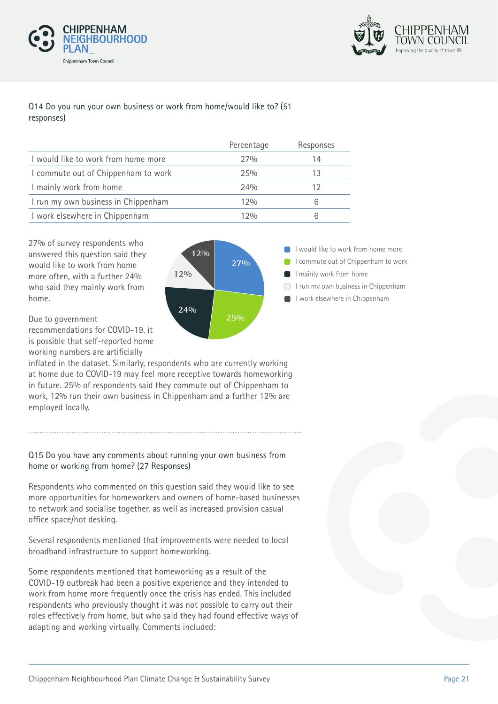



#### Q14 Do you run your own business or work from home/would like to? (51 responses)

|                                     | Percentage | Responses |
|-------------------------------------|------------|-----------|
| I would like to work from home more | 27%        | 14        |
| I commute out of Chippenham to work | 25%        |           |
| I mainly work from home             | 24%        | 12        |
| I run my own business in Chippenham | 12%        |           |
| I work elsewhere in Chippenham      | 1 2 %      |           |

27% of survey respondents who answered this question said they would like to work from home more often, with a further 24% who said they mainly work from home.



Due to government

recommendations for COVID-19, it is possible that self-reported home working numbers are artificially

inflated in the dataset. Similarly, respondents who are currently working at home due to COVID-19 may feel more receptive towards homeworking in future. 25% of respondents said they commute out of Chippenham to work, 12% run their own business in Chippenham and a further 12% are employed locally.

#### Q15 Do you have any comments about running your own business from home or working from home? (27 Responses)

Respondents who commented on this question said they would like to see more opportunities for homeworkers and owners of home-based businesses to network and socialise together, as well as increased provision casual office space/hot desking.

Several respondents mentioned that improvements were needed to local broadband infrastructure to support homeworking.

Some respondents mentioned that homeworking as a result of the COVID-19 outbreak had been a positive experience and they intended to work from home more frequently once the crisis has ended. This included respondents who previously thought it was not possible to carry out their roles effectively from home, but who said they had found effective ways of adapting and working virtually. Comments included: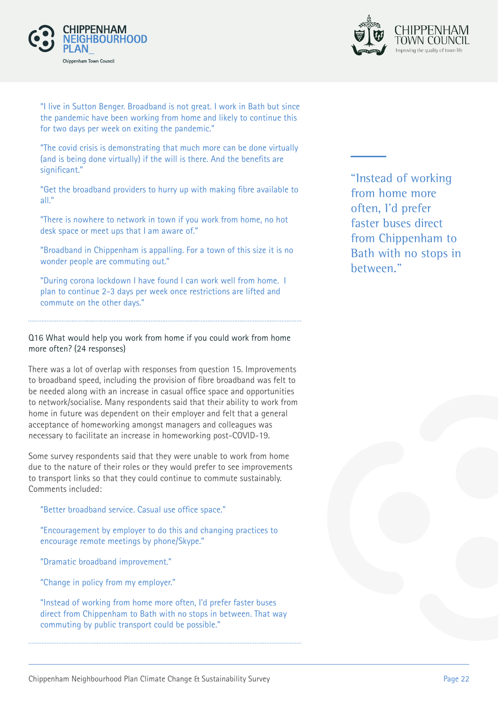



"I live in Sutton Benger. Broadband is not great. I work in Bath but since the pandemic have been working from home and likely to continue this for two days per week on exiting the pandemic."

"The covid crisis is demonstrating that much more can be done virtually (and is being done virtually) if the will is there. And the benefits are significant."

"Get the broadband providers to hurry up with making fibre available to all."

"There is nowhere to network in town if you work from home, no hot desk space or meet ups that I am aware of."

"Broadband in Chippenham is appalling. For a town of this size it is no wonder people are commuting out."

"During corona lockdown I have found I can work well from home. I plan to continue 2-3 days per week once restrictions are lifted and commute on the other days."

#### Q16 What would help you work from home if you could work from home more often? (24 responses)

There was a lot of overlap with responses from question 15. Improvements to broadband speed, including the provision of fibre broadband was felt to be needed along with an increase in casual office space and opportunities to network/socialise. Many respondents said that their ability to work from home in future was dependent on their employer and felt that a general acceptance of homeworking amongst managers and colleagues was necessary to facilitate an increase in homeworking post-COVID-19.

Some survey respondents said that they were unable to work from home due to the nature of their roles or they would prefer to see improvements to transport links so that they could continue to commute sustainably. Comments included:

"Better broadband service. Casual use office space."

"Encouragement by employer to do this and changing practices to encourage remote meetings by phone/Skype."

"Dramatic broadband improvement."

"Change in policy from my employer."

"Instead of working from home more often, I'd prefer faster buses direct from Chippenham to Bath with no stops in between. That way commuting by public transport could be possible."

"Instead of working from home more often, I'd prefer faster buses direct from Chippenham to Bath with no stops in between."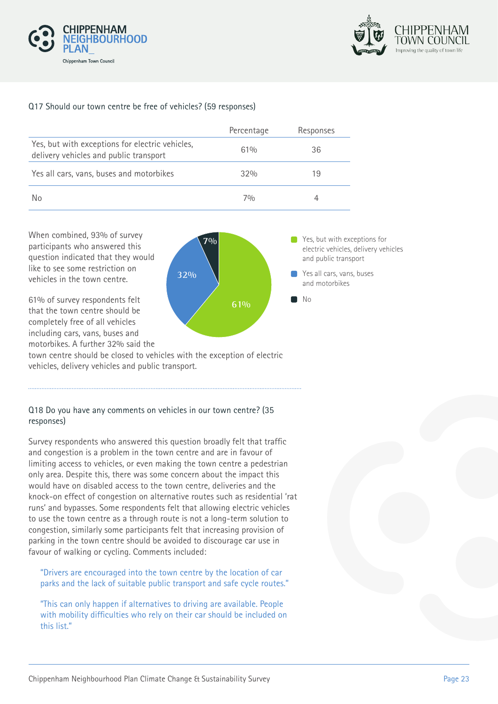



#### Q17 Should our town centre be free of vehicles? (59 responses)

|                                                                                           | Percentage | Responses |
|-------------------------------------------------------------------------------------------|------------|-----------|
| Yes, but with exceptions for electric vehicles,<br>delivery vehicles and public transport | 61%        | 36        |
| Yes all cars, vans, buses and motorbikes                                                  | 32%        | 19        |
| No                                                                                        | 70/n       |           |

When combined, 93% of survey **70%** participants who answered this question indicated that they would like to see some restriction on vehicles in the town centre.



**P** Yes, but with exceptions for electric vehicles, delivery vehicles and public transport

Yes all cars, vans, buses

61% of survey respondents felt that the town centre should be completely free of all vehicles including cars, vans, buses and motorbikes. A further 32% said the

town centre should be closed to vehicles with the exception of electric vehicles, delivery vehicles and public transport.

#### Q18 Do you have any comments on vehicles in our town centre? (35 responses)

Survey respondents who answered this question broadly felt that traffic and congestion is a problem in the town centre and are in favour of limiting access to vehicles, or even making the town centre a pedestrian only area. Despite this, there was some concern about the impact this would have on disabled access to the town centre, deliveries and the knock-on effect of congestion on alternative routes such as residential 'rat runs' and bypasses. Some respondents felt that allowing electric vehicles to use the town centre as a through route is not a long-term solution to congestion, similarly some participants felt that increasing provision of parking in the town centre should be avoided to discourage car use in favour of walking or cycling. Comments included:

"Drivers are encouraged into the town centre by the location of car parks and the lack of suitable public transport and safe cycle routes."

"This can only happen if alternatives to driving are available. People with mobility difficulties who rely on their car should be included on this list."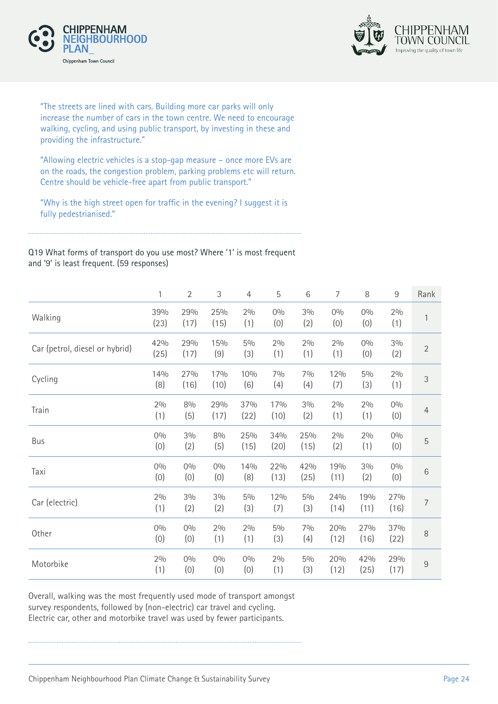



"The streets are lined with cars. Building more car parks will only increase the number of cars in the town centre. We need to encourage walking, cycling, and using public transport, by investing in these and providing the infrastructure."

"Allowing electric vehicles is a stop-gap measure – once more EVs are on the roads, the congestion problem, parking problems etc will return. Centre should be vehicle-free apart from public transport."

"Why is the high street open for traffic in the evening? I suggest it is fully pedestrianised."

Q19 What forms of transport do you use most? Where '1' is most frequent and '9' is least frequent. (59 responses)

|                                | 1           | $\overline{2}$ | 3            | $\overline{4}$ | 5            | 6            | 7           | 8            | 9           | Rank           |
|--------------------------------|-------------|----------------|--------------|----------------|--------------|--------------|-------------|--------------|-------------|----------------|
| Walking                        | 39%<br>(23) | 29%<br>(17)    | 25%<br>(15)  | 2%<br>(1)      | 0%<br>(0)    | 3%<br>(2)    | 0%<br>(0)   | 0%<br>(0)    | 2%<br>(1)   | 1              |
| Car (petrol, diesel or hybrid) | 42%<br>(25) | 29%<br>(17)    | 15%<br>(9)   | $5\%$<br>(3)   | 2%<br>(1)    | 2%<br>(1)    | 2%<br>(1)   | 0%<br>(0)    | 3%<br>(2)   | $\overline{2}$ |
| Cycling                        | 14%<br>(8)  | 27%<br>(16)    | 17%<br>(10)  | 10%<br>(6)     | 7%<br>(4)    | 7%<br>(4)    | 12%<br>(7)  | $5\%$<br>(3) | 2%<br>(1)   | 3              |
| Train                          | 2%<br>(1)   | 8%<br>(5)      | 29%<br>(17)  | 37%<br>(22)    | 17%<br>(10)  | 3%<br>(2)    | 2%<br>(1)   | $2\%$<br>(1) | 0%<br>(0)   | $\overline{4}$ |
| Bus                            | 0%<br>(0)   | $3\%$<br>(2)   | 8%<br>(5)    | 25%<br>(15)    | 34%<br>(20)  | 25%<br>(15)  | 2%<br>(2)   | 2%<br>(1)    | 0%<br>(0)   | 5              |
| Taxi                           | 0%<br>(0)   | $0\%$<br>(0)   | 0%<br>(0)    | 14%<br>(8)     | 22%<br>(13)  | 42%<br>(25)  | 19%<br>(11) | $3\%$<br>(2) | 0%<br>(0)   | 6              |
| Car (electric)                 | 2%<br>(1)   | $3\%$<br>(2)   | $3\%$<br>(2) | $5\%$<br>(3)   | 12%<br>(7)   | $5\%$<br>(3) | 24%<br>(14) | 19%<br>(11)  | 27%<br>(16) | 7              |
| Other                          | 0%<br>(0)   | $0\%$<br>(0)   | 2%<br>(1)    | 2%<br>(1)      | $5\%$<br>(3) | 70/0<br>(4)  | 20%<br>(12) | 27%<br>(16)  | 37%<br>(22) | 8              |
| Motorbike                      | 2%<br>(1)   | $0\%$<br>(0)   | 0%<br>(0)    | $0\%$<br>(0)   | 2%<br>(1)    | $5\%$<br>(3) | 20%<br>(12) | 42%<br>(25)  | 29%<br>(17) | $\hbox{9}$     |

Overall, walking was the most frequently used mode of transport amongst survey respondents, followed by (non-electric) car travel and cycling. Electric car, other and motorbike travel was used by fewer participants.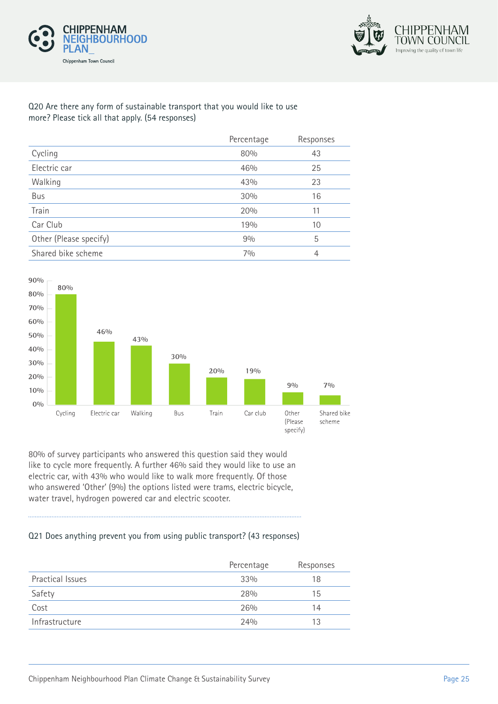



#### Q20 Are there any form of sustainable transport that you would like to use more? Please tick all that apply. (54 responses)

|                        | Percentage | Responses |
|------------------------|------------|-----------|
| Cycling                | 80%        | 43        |
| Electric car           | 46%        | 25        |
| Walking                | 43%        | 23        |
| Bus                    | 30%        | 16        |
| Train                  | 20%        | 11        |
| Car Club               | 19%        | 10        |
| Other (Please specify) | 9%         | 5         |
| Shared bike scheme     | 70/0       | 4         |



80% of survey participants who answered this question said they would like to cycle more frequently. A further 46% said they would like to use an electric car, with 43% who would like to walk more frequently. Of those who answered 'Other' (9%) the options listed were trams, electric bicycle, water travel, hydrogen powered car and electric scooter.

#### Q21 Does anything prevent you from using public transport? (43 responses)

|                  | Percentage | Responses |
|------------------|------------|-----------|
| Practical Issues | 33%        | 18        |
| Safety           | 28%        | 15        |
| Cost             | 26%        | 14        |
| Infrastructure   | 24%        | 13        |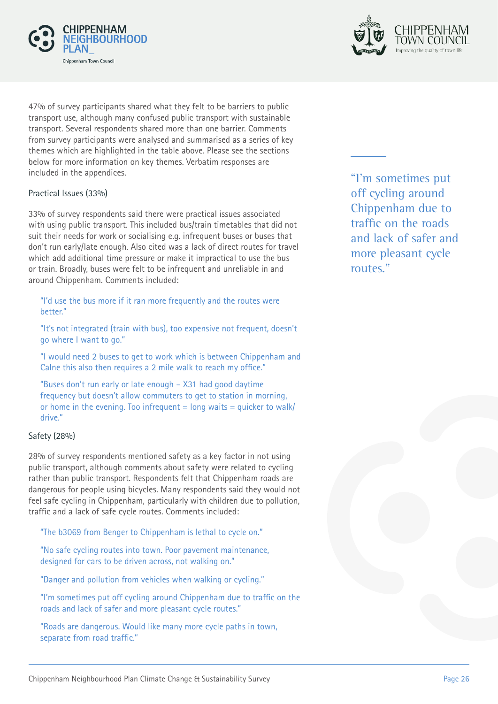



47% of survey participants shared what they felt to be barriers to public transport use, although many confused public transport with sustainable transport. Several respondents shared more than one barrier. Comments from survey participants were analysed and summarised as a series of key themes which are highlighted in the table above. Please see the sections below for more information on key themes. Verbatim responses are included in the appendices.

#### Practical Issues (33%)

33% of survey respondents said there were practical issues associated with using public transport. This included bus/train timetables that did not suit their needs for work or socialising e.g. infrequent buses or buses that don't run early/late enough. Also cited was a lack of direct routes for travel which add additional time pressure or make it impractical to use the bus or train. Broadly, buses were felt to be infrequent and unreliable in and around Chippenham. Comments included:

"I'd use the bus more if it ran more frequently and the routes were better."

"It's not integrated (train with bus), too expensive not frequent, doesn't go where I want to go."

"I would need 2 buses to get to work which is between Chippenham and Calne this also then requires a 2 mile walk to reach my office."

"Buses don't run early or late enough – X31 had good daytime frequency but doesn't allow commuters to get to station in morning, or home in the evening. Too infrequent  $=$  long waits  $=$  quicker to walk/ drive."

#### Safety (28%)

28% of survey respondents mentioned safety as a key factor in not using public transport, although comments about safety were related to cycling rather than public transport. Respondents felt that Chippenham roads are dangerous for people using bicycles. Many respondents said they would not feel safe cycling in Chippenham, particularly with children due to pollution, traffic and a lack of safe cycle routes. Comments included:

"The b3069 from Benger to Chippenham is lethal to cycle on."

"No safe cycling routes into town. Poor pavement maintenance, designed for cars to be driven across, not walking on."

"Danger and pollution from vehicles when walking or cycling."

"I'm sometimes put off cycling around Chippenham due to traffic on the roads and lack of safer and more pleasant cycle routes."

"Roads are dangerous. Would like many more cycle paths in town, separate from road traffic."

"I'm sometimes put off cycling around Chippenham due to traffic on the roads and lack of safer and more pleasant cycle routes."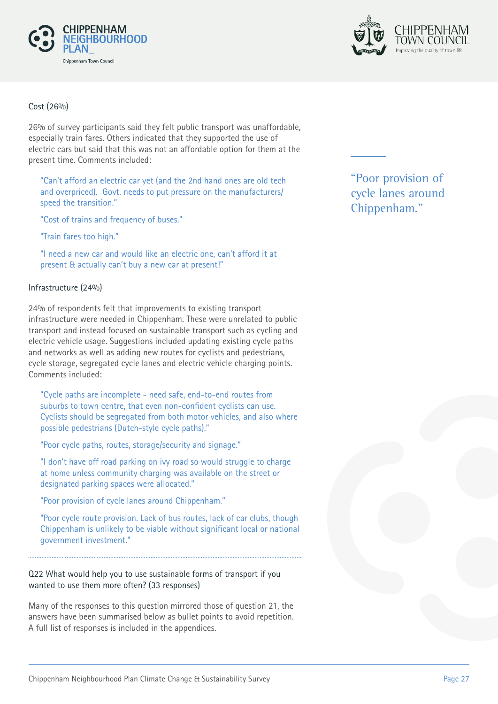



#### Cost (26%)

26% of survey participants said they felt public transport was unaffordable, especially train fares. Others indicated that they supported the use of electric cars but said that this was not an affordable option for them at the present time. Comments included:

"Can't afford an electric car yet (and the 2nd hand ones are old tech and overpriced). Govt. needs to put pressure on the manufacturers/ speed the transition."

"Cost of trains and frequency of buses."

"Train fares too high."

"I need a new car and would like an electric one, can't afford it at present & actually can't buy a new car at present!"

#### Infrastructure (24%)

24% of respondents felt that improvements to existing transport infrastructure were needed in Chippenham. These were unrelated to public transport and instead focused on sustainable transport such as cycling and electric vehicle usage. Suggestions included updating existing cycle paths and networks as well as adding new routes for cyclists and pedestrians, cycle storage, segregated cycle lanes and electric vehicle charging points. Comments included:

"Cycle paths are incomplete - need safe, end-to-end routes from suburbs to town centre, that even non-confident cyclists can use. Cyclists should be segregated from both motor vehicles, and also where possible pedestrians (Dutch-style cycle paths)."

"Poor cycle paths, routes, storage/security and signage."

"I don't have off road parking on ivy road so would struggle to charge at home unless community charging was available on the street or designated parking spaces were allocated."

"Poor provision of cycle lanes around Chippenham."

"Poor cycle route provision. Lack of bus routes, lack of car clubs, though Chippenham is unlikely to be viable without significant local or national government investment."

#### Q22 What would help you to use sustainable forms of transport if you wanted to use them more often? (33 responses)

Many of the responses to this question mirrored those of question 21, the answers have been summarised below as bullet points to avoid repetition. A full list of responses is included in the appendices.

"Poor provision of cycle lanes around Chippenham."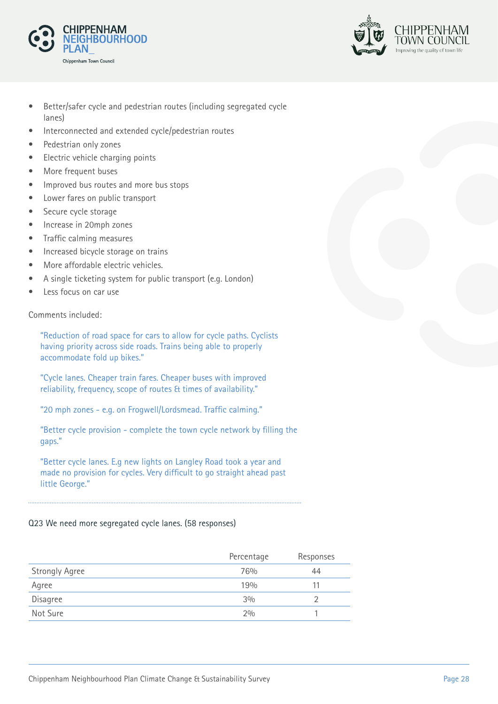



- Better/safer cycle and pedestrian routes (including segregated cycle lanes)
- Interconnected and extended cycle/pedestrian routes
- Pedestrian only zones
- Electric vehicle charging points
- More frequent buses
- Improved bus routes and more bus stops
- Lower fares on public transport
- Secure cycle storage
- Increase in 20mph zones
- Traffic calming measures
- Increased bicycle storage on trains
- More affordable electric vehicles.
- A single ticketing system for public transport (e.g. London)
- Less focus on car use

Comments included:

"Reduction of road space for cars to allow for cycle paths. Cyclists having priority across side roads. Trains being able to properly accommodate fold up bikes."

"Cycle lanes. Cheaper train fares. Cheaper buses with improved reliability, frequency, scope of routes & times of availability."

"20 mph zones - e.g. on Frogwell/Lordsmead. Traffic calming."

"Better cycle provision - complete the town cycle network by filling the gaps."

"Better cycle lanes. E.g new lights on Langley Road took a year and made no provision for cycles. Very difficult to go straight ahead past little George."

#### Q23 We need more segregated cycle lanes. (58 responses)

|                       | Percentage | Responses |
|-----------------------|------------|-----------|
| <b>Strongly Agree</b> | 76%        | 44        |
| Agree                 | 19%        |           |
| <b>Disagree</b>       | 3%         |           |
| Not Sure              | 2%         |           |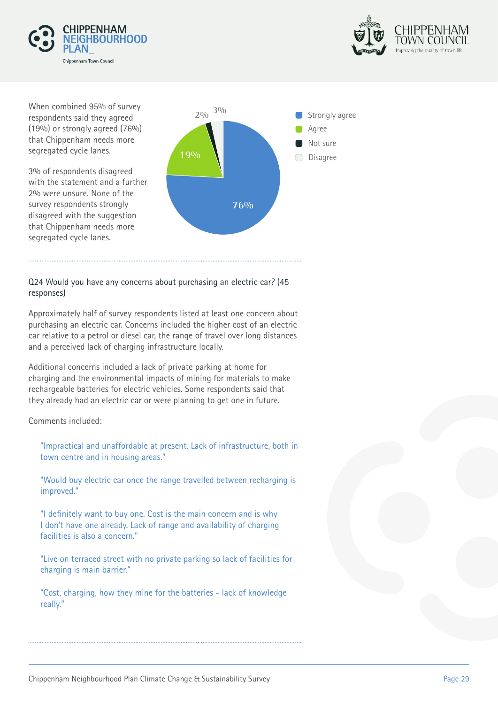



When combined 95% of survey respondents said they agreed (19%) or strongly agreed (76%) that Chippenham needs more segregated cycle lanes.

3% of respondents disagreed with the statement and a further 2% were unsure. None of the survey respondents strongly disagreed with the suggestion that Chippenham needs more segregated cycle lanes.



#### Q24 Would you have any concerns about purchasing an electric car? (45 responses)

Approximately half of survey respondents listed at least one concern about purchasing an electric car. Concerns included the higher cost of an electric car relative to a petrol or diesel car, the range of travel over long distances and a perceived lack of charging infrastructure locally.

Additional concerns included a lack of private parking at home for charging and the environmental impacts of mining for materials to make rechargeable batteries for electric vehicles. Some respondents said that they already had an electric car or were planning to get one in future.

Comments included:

"Impractical and unaffordable at present. Lack of infrastructure, both in town centre and in housing areas."

"Would buy electric car once the range travelled between recharging is improved."

"I definitely want to buy one. Cost is the main concern and is why I don't have one already. Lack of range and availability of charging facilities is also a concern."

"Live on terraced street with no private parking so lack of facilities for charging is main barrier."

"Cost, charging, how they mine for the batteries - lack of knowledge really."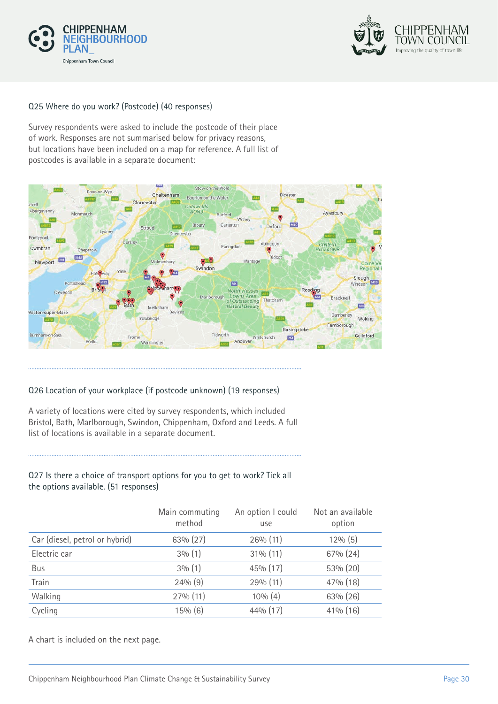



#### Q25 Where do you work? (Postcode) (40 responses)

Survey respondents were asked to include the postcode of their place of work. Responses are not summarised below for privacy reasons, but locations have been included on a map for reference. A full list of postcodes is available in a separate document:



#### Q26 Location of your workplace (if postcode unknown) (19 responses)

A variety of locations were cited by survey respondents, which included Bristol, Bath, Marlborough, Swindon, Chippenham, Oxford and Leeds. A full list of locations is available in a separate document.

#### Q27 Is there a choice of transport options for you to get to work? Tick all the options available. (51 responses)

|                                | Main commuting<br>method | An option I could<br>use | Not an available<br>option |
|--------------------------------|--------------------------|--------------------------|----------------------------|
| Car (diesel, petrol or hybrid) | $63\% (27)$              | 26% (11)                 | $12\%$ (5)                 |
| Electric car                   | $3\%$ (1)                | $31\%$ (11)              | $67\%$ (24)                |
| Bus                            | $3\%$ (1)                | 45% (17)                 | 53% (20)                   |
| Train                          | 24% (9)                  | 29% (11)                 | 47% (18)                   |
| Walking                        | 27% (11)                 | $10\%$ (4)               | 63% (26)                   |
| Cycling                        | 15% (6)                  | $44\%$ (17)              | $41\%$ (16)                |

A chart is included on the next page.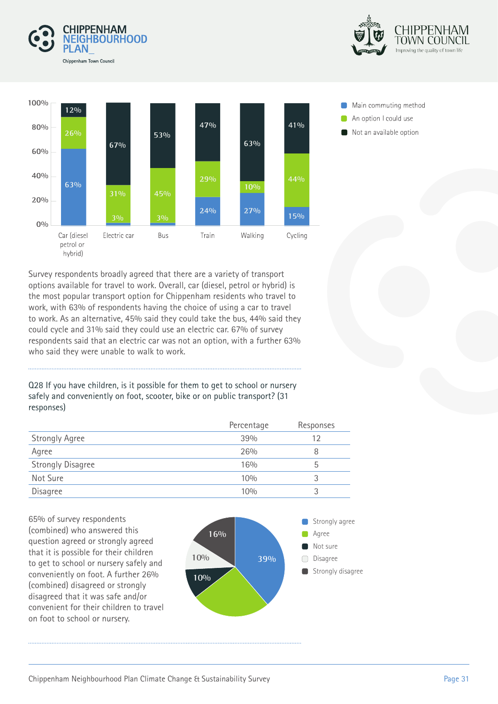





Main commuting method An option I could use Not an available option

Survey respondents broadly agreed that there are a variety of transport options available for travel to work. Overall, car (diesel, petrol or hybrid) is the most popular transport option for Chippenham residents who travel to work, with 63% of respondents having the choice of using a car to travel to work. As an alternative, 45% said they could take the bus, 44% said they could cycle and 31% said they could use an electric car. 67% of survey respondents said that an electric car was not an option, with a further 63% who said they were unable to walk to work.

Q28 If you have children, is it possible for them to get to school or nursery safely and conveniently on foot, scooter, bike or on public transport? (31 responses)

|                          | Percentage | Responses |
|--------------------------|------------|-----------|
| <b>Strongly Agree</b>    | 39%        | 12        |
| Agree                    | 26%        |           |
| <b>Strongly Disagree</b> | 16%        | b         |
| Not Sure                 | 10%        |           |
| Disagree                 | 10%        |           |

65% of survey respondents (combined) who answered this question agreed or strongly agreed that it is possible for their children to get to school or nursery safely and conveniently on foot. A further 26% (combined) disagreed or strongly disagreed that it was safe and/or convenient for their children to travel on foot to school or nursery.

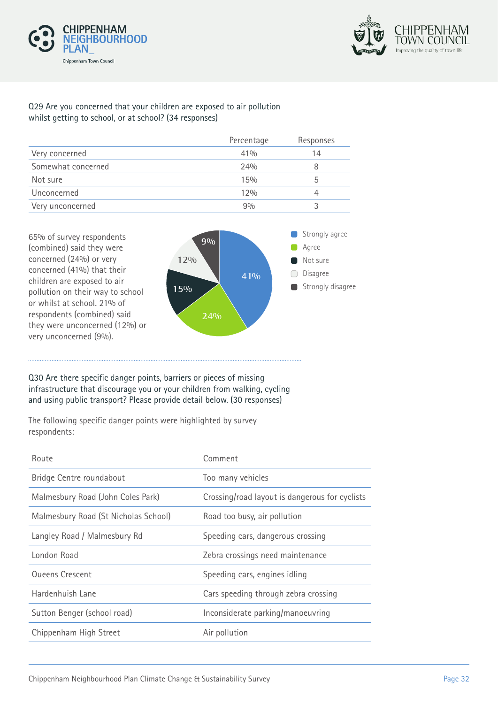



#### Q29 Are you concerned that your children are exposed to air pollution whilst getting to school, or at school? (34 responses)

|                    | Percentage | Responses |
|--------------------|------------|-----------|
| Very concerned     | 41%        | 14        |
| Somewhat concerned | 24%        |           |
| Not sure           | 15%        | h         |
| Unconcerned        | 12%        |           |
| Very unconcerned   | 90/0       |           |



#### Q30 Are there specific danger points, barriers or pieces of missing infrastructure that discourage you or your children from walking, cycling and using public transport? Please provide detail below. (30 responses)

The following specific danger points were highlighted by survey respondents:

| Route                                | Comment                                        |
|--------------------------------------|------------------------------------------------|
| Bridge Centre roundabout             | Too many vehicles                              |
| Malmesbury Road (John Coles Park)    | Crossing/road layout is dangerous for cyclists |
| Malmesbury Road (St Nicholas School) | Road too busy, air pollution                   |
| Langley Road / Malmesbury Rd         | Speeding cars, dangerous crossing              |
| London Road                          | Zebra crossings need maintenance               |
| Queens Crescent                      | Speeding cars, engines idling                  |
| Hardenhuish Lane                     | Cars speeding through zebra crossing           |
| Sutton Benger (school road)          | Inconsiderate parking/manoeuvring              |
| Chippenham High Street               | Air pollution                                  |
|                                      |                                                |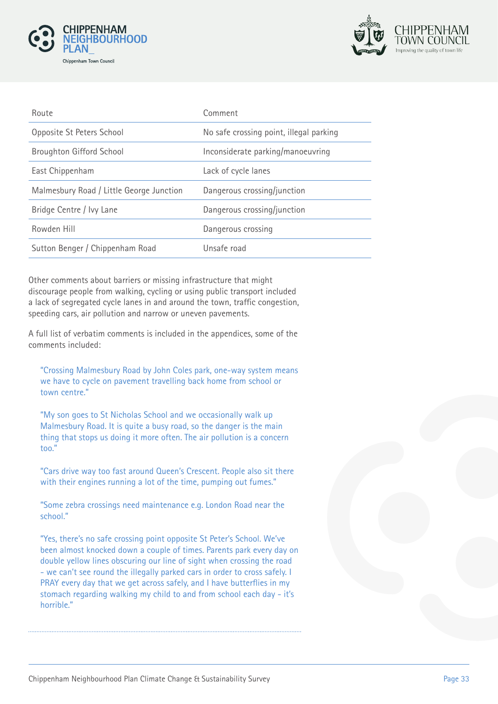



| Route                                    | Comment                                 |
|------------------------------------------|-----------------------------------------|
| Opposite St Peters School                | No safe crossing point, illegal parking |
| <b>Broughton Gifford School</b>          | Inconsiderate parking/manoeuvring       |
| East Chippenham                          | Lack of cycle lanes                     |
| Malmesbury Road / Little George Junction | Dangerous crossing/junction             |
| Bridge Centre / Ivy Lane                 | Dangerous crossing/junction             |
| Rowden Hill                              | Dangerous crossing                      |
| Sutton Benger / Chippenham Road          | Unsafe road                             |

Other comments about barriers or missing infrastructure that might discourage people from walking, cycling or using public transport included a lack of segregated cycle lanes in and around the town, traffic congestion, speeding cars, air pollution and narrow or uneven pavements.

A full list of verbatim comments is included in the appendices, some of the comments included:

"Crossing Malmesbury Road by John Coles park, one-way system means we have to cycle on pavement travelling back home from school or town centre."

"My son goes to St Nicholas School and we occasionally walk up Malmesbury Road. It is quite a busy road, so the danger is the main thing that stops us doing it more often. The air pollution is a concern too."

"Cars drive way too fast around Queen's Crescent. People also sit there with their engines running a lot of the time, pumping out fumes."

"Some zebra crossings need maintenance e.g. London Road near the school."

"Yes, there's no safe crossing point opposite St Peter's School. We've been almost knocked down a couple of times. Parents park every day on double yellow lines obscuring our line of sight when crossing the road - we can't see round the illegally parked cars in order to cross safely. I PRAY every day that we get across safely, and I have butterflies in my stomach regarding walking my child to and from school each day - it's horrible."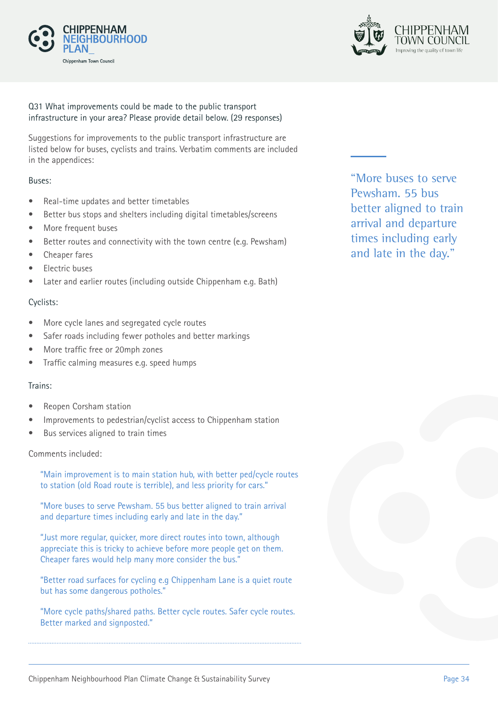



#### Q31 What improvements could be made to the public transport infrastructure in your area? Please provide detail below. (29 responses)

Suggestions for improvements to the public transport infrastructure are listed below for buses, cyclists and trains. Verbatim comments are included in the appendices:

#### Buses:

- Real-time updates and better timetables
- Better bus stops and shelters including digital timetables/screens
- More frequent buses
- Better routes and connectivity with the town centre (e.g. Pewsham)
- Cheaper fares
- Electric buses
- Later and earlier routes (including outside Chippenham e.g. Bath)

#### Cyclists:

- More cycle lanes and segregated cycle routes
- Safer roads including fewer potholes and better markings
- More traffic free or 20mph zones
- Traffic calming measures e.g. speed humps

#### Trains:

- Reopen Corsham station
- Improvements to pedestrian/cyclist access to Chippenham station
- Bus services aligned to train times

#### Comments included:

"Main improvement is to main station hub, with better ped/cycle routes to station (old Road route is terrible), and less priority for cars."

"More buses to serve Pewsham. 55 bus better aligned to train arrival and departure times including early and late in the day."

"Just more regular, quicker, more direct routes into town, although appreciate this is tricky to achieve before more people get on them. Cheaper fares would help many more consider the bus."

"Better road surfaces for cycling e.g Chippenham Lane is a quiet route but has some dangerous potholes."

"More cycle paths/shared paths. Better cycle routes. Safer cycle routes. Better marked and signposted."

"More buses to serve Pewsham. 55 bus better aligned to train arrival and departure times including early and late in the day."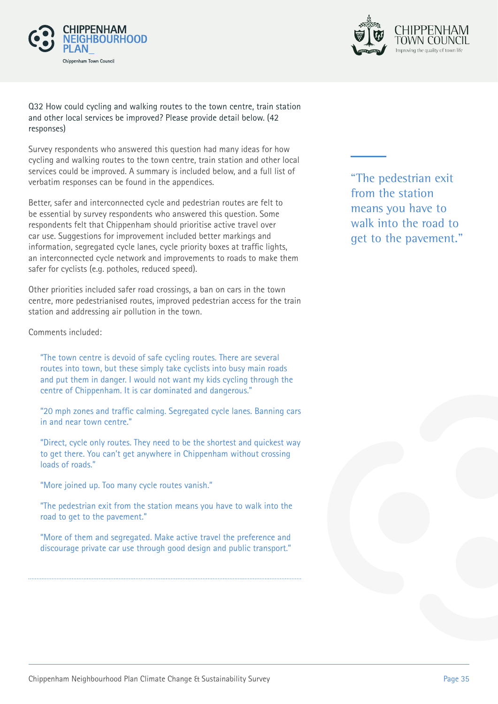



#### Q32 How could cycling and walking routes to the town centre, train station and other local services be improved? Please provide detail below. (42 responses)

Survey respondents who answered this question had many ideas for how cycling and walking routes to the town centre, train station and other local services could be improved. A summary is included below, and a full list of verbatim responses can be found in the appendices.

Better, safer and interconnected cycle and pedestrian routes are felt to be essential by survey respondents who answered this question. Some respondents felt that Chippenham should prioritise active travel over car use. Suggestions for improvement included better markings and information, segregated cycle lanes, cycle priority boxes at traffic lights, an interconnected cycle network and improvements to roads to make them safer for cyclists (e.g. potholes, reduced speed).

Other priorities included safer road crossings, a ban on cars in the town centre, more pedestrianised routes, improved pedestrian access for the train station and addressing air pollution in the town.

Comments included:

"The town centre is devoid of safe cycling routes. There are several routes into town, but these simply take cyclists into busy main roads and put them in danger. I would not want my kids cycling through the centre of Chippenham. It is car dominated and dangerous."

"20 mph zones and traffic calming. Segregated cycle lanes. Banning cars in and near town centre."

"Direct, cycle only routes. They need to be the shortest and quickest way to get there. You can't get anywhere in Chippenham without crossing loads of roads."

"More joined up. Too many cycle routes vanish."

"The pedestrian exit from the station means you have to walk into the road to get to the pavement."

"More of them and segregated. Make active travel the preference and discourage private car use through good design and public transport." "The pedestrian exit from the station means you have to walk into the road to get to the pavement."